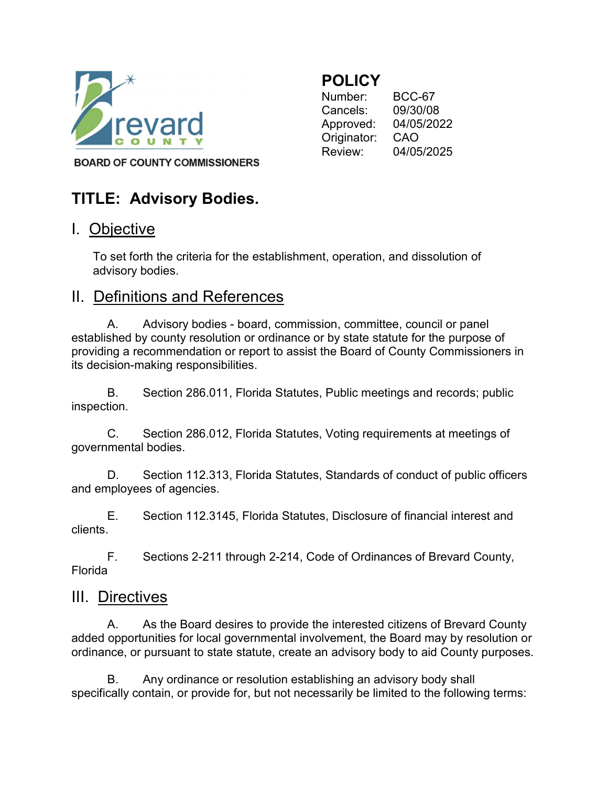

### **POLICY**

 Originator: CAO Number: BCC-67 Cancels: 09/30/08 Approved: 04/05/2022 Review: 04/05/2025

**BOARD OF COUNTY COMMISSIONERS** 

# TITLE: Advisory Bodies.

## I. Objective

 To set forth the criteria for the establishment, operation, and dissolution of advisory bodies.

#### II. Definitions and References

 established by county resolution or ordinance or by state statute for the purpose of providing a recommendation or report to assist the Board of County Commissioners in A. Advisory bodies - board, commission, committee, council or panel its decision-making responsibilities.

B. Section 286.011, Florida Statutes, Public meetings and records; public inspection.

 governmental bodies. C. Section 286.012, Florida Statutes, Voting requirements at meetings of

 and employees of agencies. D. Section 112.313, Florida Statutes, Standards of conduct of public officers

E. Section 112.3145, Florida Statutes, Disclosure of financial interest and clients.

F. Sections 2-211 through 2-214, Code of Ordinances of Brevard County, Florida

#### III. Directives

 added opportunities for local governmental involvement, the Board may by resolution or ordinance, or pursuant to state statute, create an advisory body to aid County purposes. A. As the Board desires to provide the interested citizens of Brevard County

 specifically contain, or provide for, but not necessarily be limited to the following terms:B. Any ordinance or resolution establishing an advisory body shall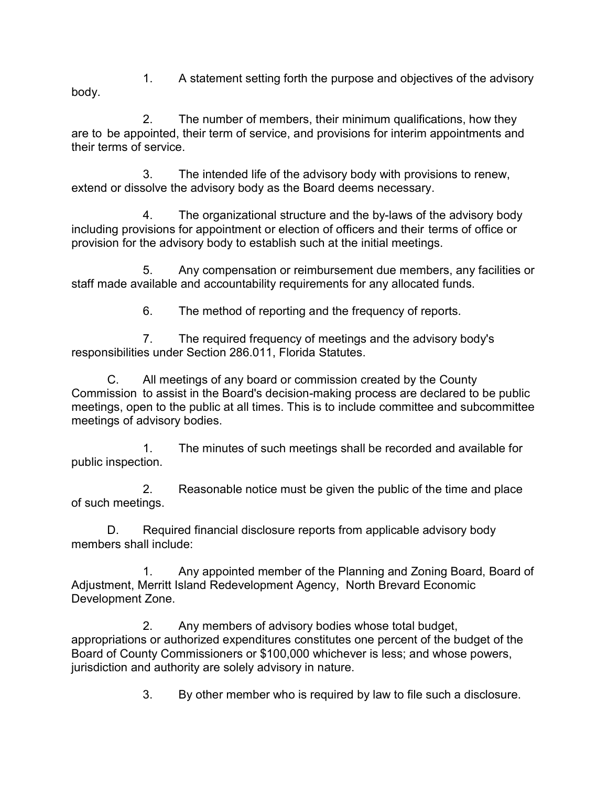1. A statement setting forth the purpose and objectives of the advisory body.

 are to be appointed, their term of service, and provisions for interim appointments and their terms of service. 2. The number of members, their minimum qualifications, how they

 extend or dissolve the advisory body as the Board deems necessary. 3. The intended life of the advisory body with provisions to renew,

 including provisions for appointment or election of officers and their terms of office or provision for the advisory body to establish such at the initial meetings. 4. The organizational structure and the by-laws of the advisory body

 staff made available and accountability requirements for any allocated funds. 5. Any compensation or reimbursement due members, any facilities or

6. The method of reporting and the frequency of reports.

 responsibilities under Section 286.011, Florida Statutes. 7. The required frequency of meetings and the advisory body's

 Commission to assist in the Board's decision-making process are declared to be public meetings, open to the public at all times. This is to include committee and subcommittee meetings of advisory bodies. C. All meetings of any board or commission created by the County

 public inspection. 1. The minutes of such meetings shall be recorded and available for

 of such meetings. 2. Reasonable notice must be given the public of the time and place

 members shall include: D. Required financial disclosure reports from applicable advisory body

 Adjustment, Merritt Island Redevelopment Agency, North Brevard Economic Development Zone. 1. Any appointed member of the Planning and Zoning Board, Board of

 appropriations or authorized expenditures constitutes one percent of the budget of the Board of County Commissioners or \$100,000 whichever is less; and whose powers, jurisdiction and authority are solely advisory in nature. 2. Any members of advisory bodies whose total budget,

3. By other member who is required by law to file such a disclosure.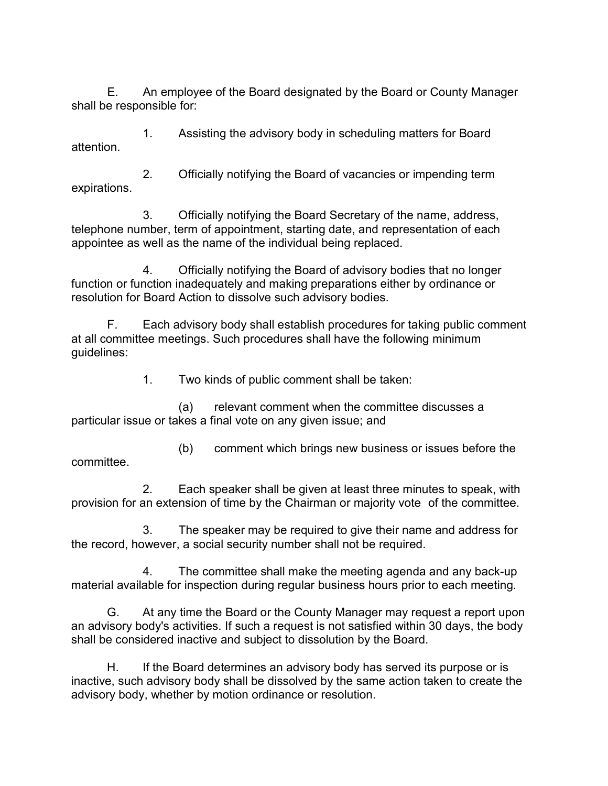shall be responsible for: E. An employee of the Board designated by the Board or County Manager

1. Assisting the advisory body in scheduling matters for Board attention.

2. Officially notifying the Board of vacancies or impending term expirations.

 telephone number, term of appointment, starting date, and representation of each appointee as well as the name of the individual being replaced. 3. Officially notifying the Board Secretary of the name, address,

 function or function inadequately and making preparations either by ordinance or resolution for Board Action to dissolve such advisory bodies. 4. Officially notifying the Board of advisory bodies that no longer

 at all committee meetings. Such procedures shall have the following minimum F. Each advisory body shall establish procedures for taking public comment guidelines:

1. Two kinds of public comment shall be taken:

 particular issue or takes a final vote on any given issue; and (a) relevant comment when the committee discusses a

(b) comment which brings new business or issues before the committee.

 provision for an extension of time by the Chairman or majority vote of the committee. 2. Each speaker shall be given at least three minutes to speak, with

 the record, however, a social security number shall not be required. 3. The speaker may be required to give their name and address for

 material available for inspection during regular business hours prior to each meeting. 4. The committee shall make the meeting agenda and any back-up

 an advisory body's activities. If such a request is not satisfied within 30 days, the body shall be considered inactive and subject to dissolution by the Board. G. At any time the Board or the County Manager may request a report upon

 inactive, such advisory body shall be dissolved by the same action taken to create the advisory body, whether by motion ordinance or resolution.H. If the Board determines an advisory body has served its purpose or is